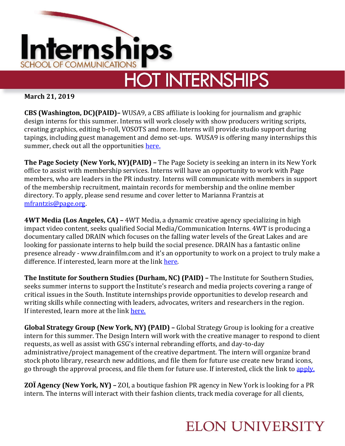

**March 21, 2019**

**CBS (Washington, DC)(PAID)–** WUSA9, a CBS affiliate is looking for journalism and graphic design interns for this summer. Interns will work closely with show producers writing scripts, creating graphics, editing b-roll, VOSOTS and more. Interns will provide studio support during tapings, including guest management and demo set-ups. WUSA9 is offering many internships this summer, check out all the opportunities [here.](https://www.jobs.net/jobs/tegna/en-us/search/United-States/location/District-of-Columbia/Washington/)

**The Page Society (New York, NY)(PAID) –** The Page Society is seeking an intern in its New York office to assist with membership services. Interns will have an opportunity to work with Page members, who are leaders in the PR industry. Interns will communicate with members in support of the membership recruitment, maintain records for membership and the online member directory. To apply, please send resume and cover letter to Marianna Frantzis at [mfrantzis@page.org.](mailto:mfrantzis@page.org)

**4WT Media (Los Angeles, CA) –** 4WT Media, a dynamic creative agency specializing in high impact video content, seeks qualified Social Media/Communication Interns. 4WT is producing a documentary called DRAIN which focuses on the falling water levels of the Great Lakes and are looking for passionate interns to help build the social presence. DRAIN has a fantastic online presence already - www.drainfilm.com and it's an opportunity to work on a project to truly make a difference. If interested, learn more at the link [here.](https://www.ziprecruiter.com/jobs/4wt-media-62e9f8ee/social-media-pr-internship-for-environmental-documentary-62fa88ed?source=feed-linkedin&mid=1595)

**The Institute for Southern Studies (Durham, NC) (PAID) –** The Institute for Southern Studies, seeks summer interns to support the Institute's research and media projects covering a range of critical issues in the South. Institute internships provide opportunities to develop research and writing skills while connecting with leaders, advocates, writers and researchers in the region. If interested, learn more at the link [here.](https://www.southernstudies.org/content/openings-summer-internships)

**Global Strategy Group (New York, NY) (PAID) –** Global Strategy Group is looking for a creative intern for this summer. The Design Intern will work with the creative manager to respond to client requests, as well as assist with GSG's internal rebranding efforts, and day-to-day administrative/project management of the creative department. The intern will organize brand stock photo library, research new additions, and file them for future use create new brand icons, go through the approval process, and file them for future use. If interested, click the link to [apply.](https://www.linkedin.com/jobs/view/1153505964/)

**ZOÏ Agency (New York, NY) –** ZOI, a boutique fashion PR agency in New York is looking for a PR intern. The interns will interact with their fashion clients, track media coverage for all clients,

## **ELON UNIVERSITY**